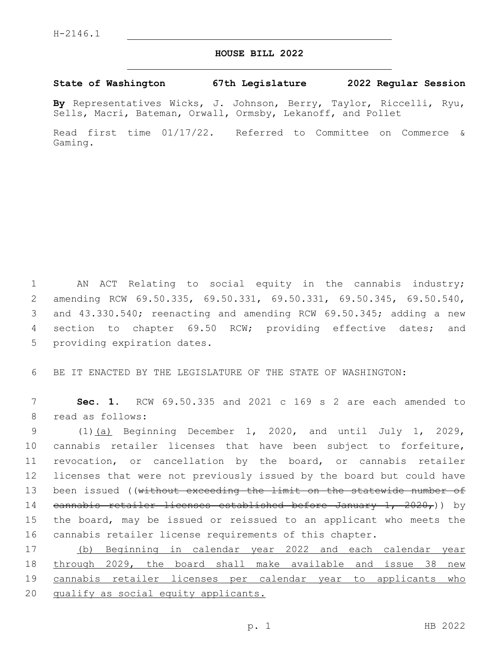## **HOUSE BILL 2022**

## **State of Washington 67th Legislature 2022 Regular Session**

**By** Representatives Wicks, J. Johnson, Berry, Taylor, Riccelli, Ryu, Sells, Macri, Bateman, Orwall, Ormsby, Lekanoff, and Pollet

Read first time 01/17/22. Referred to Committee on Commerce & Gaming.

 AN ACT Relating to social equity in the cannabis industry; amending RCW 69.50.335, 69.50.331, 69.50.331, 69.50.345, 69.50.540, and 43.330.540; reenacting and amending RCW 69.50.345; adding a new section to chapter 69.50 RCW; providing effective dates; and 5 providing expiration dates.

6 BE IT ENACTED BY THE LEGISLATURE OF THE STATE OF WASHINGTON:

7 **Sec. 1.** RCW 69.50.335 and 2021 c 169 s 2 are each amended to 8 read as follows:

 (1)(a) Beginning December 1, 2020, and until July 1, 2029, cannabis retailer licenses that have been subject to forfeiture, revocation, or cancellation by the board, or cannabis retailer licenses that were not previously issued by the board but could have 13 been issued ((without exceeding the limit on the statewide number of cannabis retailer licenses established before January 1, 2020,)) by the board, may be issued or reissued to an applicant who meets the cannabis retailer license requirements of this chapter.

 (b) Beginning in calendar year 2022 and each calendar year through 2029, the board shall make available and issue 38 new cannabis retailer licenses per calendar year to applicants who 20 qualify as social equity applicants.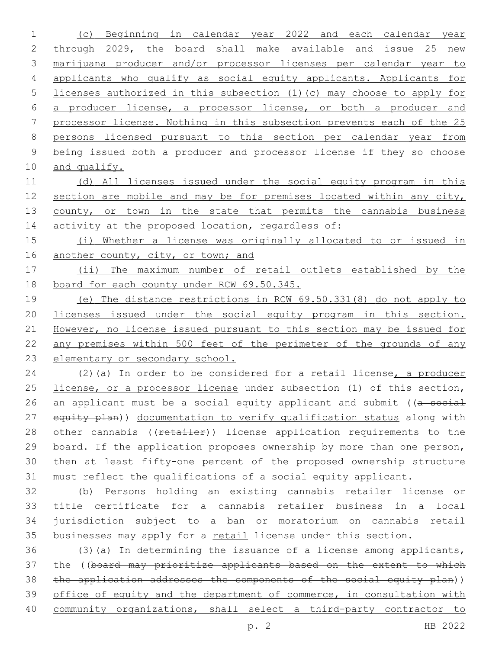(c) Beginning in calendar year 2022 and each calendar year through 2029, the board shall make available and issue 25 new marijuana producer and/or processor licenses per calendar year to applicants who qualify as social equity applicants. Applicants for licenses authorized in this subsection (1)(c) may choose to apply for a producer license, a processor license, or both a producer and processor license. Nothing in this subsection prevents each of the 25 persons licensed pursuant to this section per calendar year from being issued both a producer and processor license if they so choose and qualify.

 (d) All licenses issued under the social equity program in this 12 section are mobile and may be for premises located within any city, 13 county, or town in the state that permits the cannabis business 14 activity at the proposed location, regardless of:

 (i) Whether a license was originally allocated to or issued in 16 another county, city, or town; and

 (ii) The maximum number of retail outlets established by the board for each county under RCW 69.50.345.

 (e) The distance restrictions in RCW 69.50.331(8) do not apply to licenses issued under the social equity program in this section. However, no license issued pursuant to this section may be issued for any premises within 500 feet of the perimeter of the grounds of any elementary or secondary school.

24 (2)(a) In order to be considered for a retail license, a producer 25 license, or a processor license under subsection (1) of this section, 26 an applicant must be a social equity applicant and submit ((a social 27 equity plan)) documentation to verify qualification status along with 28 other cannabis ((retailer)) license application requirements to the board. If the application proposes ownership by more than one person, then at least fifty-one percent of the proposed ownership structure must reflect the qualifications of a social equity applicant.

 (b) Persons holding an existing cannabis retailer license or title certificate for a cannabis retailer business in a local jurisdiction subject to a ban or moratorium on cannabis retail 35 businesses may apply for a retail license under this section.

 (3)(a) In determining the issuance of a license among applicants, the ((board may prioritize applicants based on the extent to which 38 the application addresses the components of the social equity plan)) 39 office of equity and the department of commerce, in consultation with community organizations, shall select a third-party contractor to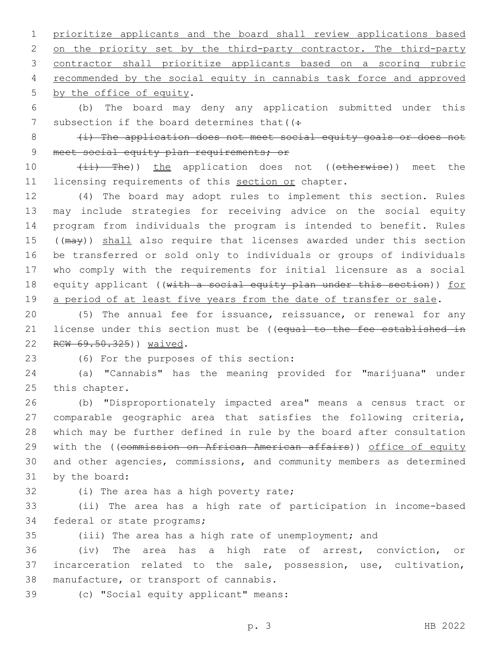1 prioritize applicants and the board shall review applications based 2 on the priority set by the third-party contractor. The third-party 3 contractor shall prioritize applicants based on a scoring rubric 4 recommended by the social equity in cannabis task force and approved 5 by the office of equity.

6 (b) The board may deny any application submitted under this 7 subsection if the board determines that  $($ :

8 (i) The application does not meet social equity goals or does not 9 meet social equity plan requirements; or

10 (ii) The)) the application does not ((otherwise)) meet the 11 licensing requirements of this section or chapter.

 (4) The board may adopt rules to implement this section. Rules may include strategies for receiving advice on the social equity program from individuals the program is intended to benefit. Rules 15 ((may)) shall also require that licenses awarded under this section be transferred or sold only to individuals or groups of individuals who comply with the requirements for initial licensure as a social 18 equity applicant ((with a social equity plan under this section)) for 19 a period of at least five years from the date of transfer or sale.

20 (5) The annual fee for issuance, reissuance, or renewal for any 21 license under this section must be ((equal to the fee established in 22 RCW 69.50.325)) waived.

(6) For the purposes of this section:23

24 (a) "Cannabis" has the meaning provided for "marijuana" under 25 this chapter.

 (b) "Disproportionately impacted area" means a census tract or comparable geographic area that satisfies the following criteria, which may be further defined in rule by the board after consultation 29 with the ((commission on African American affairs)) office of equity and other agencies, commissions, and community members as determined 31 by the board:

32 (i) The area has a high poverty rate;

33 (ii) The area has a high rate of participation in income-based 34 federal or state programs;

35 (iii) The area has a high rate of unemployment; and

36 (iv) The area has a high rate of arrest, conviction, or 37 incarceration related to the sale, possession, use, cultivation, 38 manufacture, or transport of cannabis.

(c) "Social equity applicant" means:39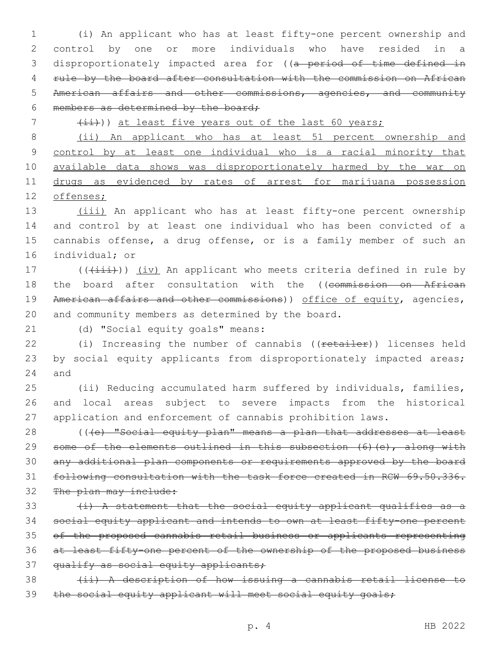(i) An applicant who has at least fifty-one percent ownership and control by one or more individuals who have resided in a 3 disproportionately impacted area for ((a period of time defined in rule by the board after consultation with the commission on African American affairs and other commissions, agencies, and community 6 members as determined by the board;

7 (ii))) at least five years out of the last 60 years;

 (ii) An applicant who has at least 51 percent ownership and 9 control by at least one individual who is a racial minority that available data shows was disproportionately harmed by the war on drugs as evidenced by rates of arrest for marijuana possession offenses;

13 (iii) An applicant who has at least fifty-one percent ownership 14 and control by at least one individual who has been convicted of a 15 cannabis offense, a drug offense, or is a family member of such an 16 individual; or

17 (( $(i$ ii))) (iv) An applicant who meets criteria defined in rule by 18 the board after consultation with the ((commission on African 19 American affairs and other commissions)) office of equity, agencies, 20 and community members as determined by the board.

21 (d) "Social equity goals" means:

22 (i) Increasing the number of cannabis ((retailer)) licenses held 23 by social equity applicants from disproportionately impacted areas; 24 and

25 (ii) Reducing accumulated harm suffered by individuals, families, 26 and local areas subject to severe impacts from the historical 27 application and enforcement of cannabis prohibition laws.

28 (((e) "Social equity plan" means a plan that addresses at least 29 some of the elements outlined in this subsection (6)(e), along with 30 any additional plan components or requirements approved by the board 31 following consultation with the task force created in RCW 69.50.336. 32 The plan may include:

 $\{i\}$  A statement that the social equity applicant qualifies as a 34 social equity applicant and intends to own at least fifty-one percent 35 of the proposed cannabis retail business or applicants representing 36 at least fifty-one percent of the ownership of the proposed business 37 qualify as social equity applicants;

38 (ii) A description of how issuing a cannabis retail license to 39 the social equity applicant will meet social equity goals;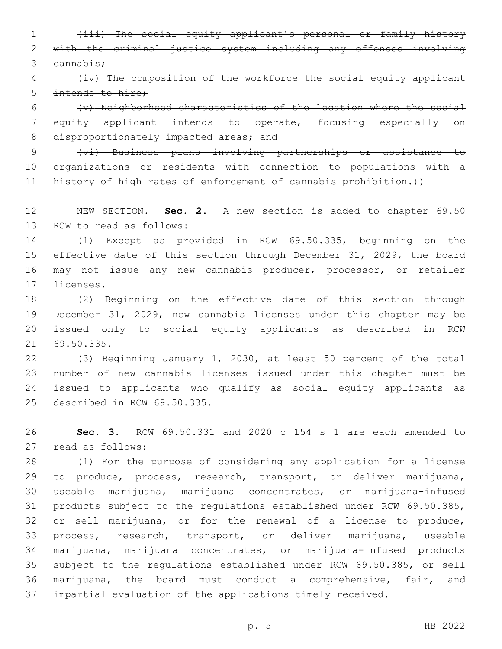(iii) The social equity applicant's personal or family history with the criminal justice system including any offenses involving cannabis;

 (iv) The composition of the workforce the social equity applicant intends to hire;

 (v) Neighborhood characteristics of the location where the social equity applicant intends to operate, focusing especially on 8 disproportionately impacted areas; and

 (vi) Business plans involving partnerships or assistance to organizations or residents with connection to populations with a 11 history of high rates of enforcement of cannabis prohibition.))

 NEW SECTION. **Sec. 2.** A new section is added to chapter 69.50 13 RCW to read as follows:

 (1) Except as provided in RCW 69.50.335, beginning on the 15 effective date of this section through December 31, 2029, the board may not issue any new cannabis producer, processor, or retailer 17 licenses.

 (2) Beginning on the effective date of this section through December 31, 2029, new cannabis licenses under this chapter may be issued only to social equity applicants as described in RCW 69.50.335.21

 (3) Beginning January 1, 2030, at least 50 percent of the total number of new cannabis licenses issued under this chapter must be issued to applicants who qualify as social equity applicants as 25 described in RCW 69.50.335.

 **Sec. 3.** RCW 69.50.331 and 2020 c 154 s 1 are each amended to 27 read as follows:

 (1) For the purpose of considering any application for a license to produce, process, research, transport, or deliver marijuana, useable marijuana, marijuana concentrates, or marijuana-infused products subject to the regulations established under RCW 69.50.385, or sell marijuana, or for the renewal of a license to produce, process, research, transport, or deliver marijuana, useable marijuana, marijuana concentrates, or marijuana-infused products subject to the regulations established under RCW 69.50.385, or sell marijuana, the board must conduct a comprehensive, fair, and impartial evaluation of the applications timely received.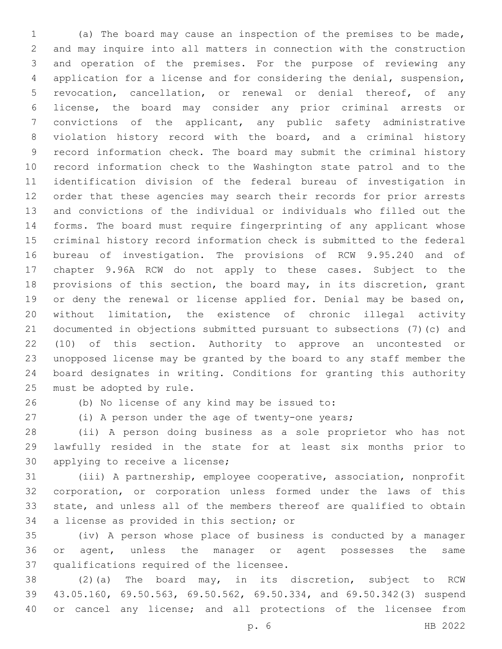(a) The board may cause an inspection of the premises to be made, and may inquire into all matters in connection with the construction and operation of the premises. For the purpose of reviewing any application for a license and for considering the denial, suspension, revocation, cancellation, or renewal or denial thereof, of any license, the board may consider any prior criminal arrests or convictions of the applicant, any public safety administrative violation history record with the board, and a criminal history record information check. The board may submit the criminal history record information check to the Washington state patrol and to the identification division of the federal bureau of investigation in order that these agencies may search their records for prior arrests and convictions of the individual or individuals who filled out the forms. The board must require fingerprinting of any applicant whose criminal history record information check is submitted to the federal bureau of investigation. The provisions of RCW 9.95.240 and of chapter 9.96A RCW do not apply to these cases. Subject to the provisions of this section, the board may, in its discretion, grant 19 or deny the renewal or license applied for. Denial may be based on, without limitation, the existence of chronic illegal activity documented in objections submitted pursuant to subsections (7)(c) and (10) of this section. Authority to approve an uncontested or unopposed license may be granted by the board to any staff member the board designates in writing. Conditions for granting this authority 25 must be adopted by rule.

(b) No license of any kind may be issued to:26

(i) A person under the age of twenty-one years;

 (ii) A person doing business as a sole proprietor who has not lawfully resided in the state for at least six months prior to 30 applying to receive a license;

 (iii) A partnership, employee cooperative, association, nonprofit corporation, or corporation unless formed under the laws of this state, and unless all of the members thereof are qualified to obtain 34 a license as provided in this section; or

 (iv) A person whose place of business is conducted by a manager or agent, unless the manager or agent possesses the same 37 qualifications required of the licensee.

 (2)(a) The board may, in its discretion, subject to RCW 43.05.160, 69.50.563, 69.50.562, 69.50.334, and 69.50.342(3) suspend or cancel any license; and all protections of the licensee from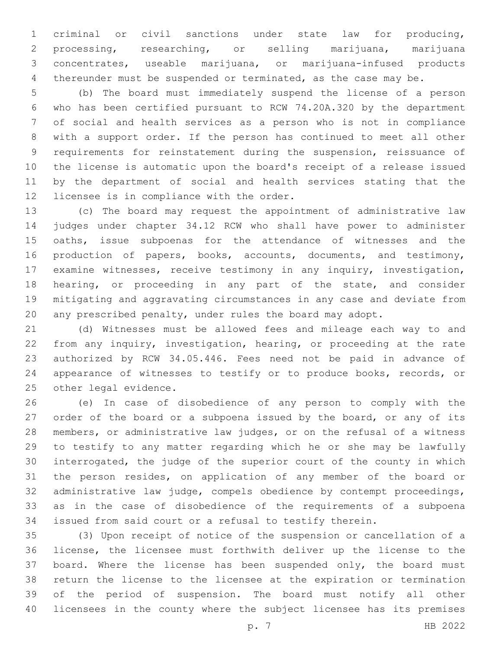criminal or civil sanctions under state law for producing, processing, researching, or selling marijuana, marijuana concentrates, useable marijuana, or marijuana-infused products thereunder must be suspended or terminated, as the case may be.

 (b) The board must immediately suspend the license of a person who has been certified pursuant to RCW 74.20A.320 by the department of social and health services as a person who is not in compliance with a support order. If the person has continued to meet all other requirements for reinstatement during the suspension, reissuance of the license is automatic upon the board's receipt of a release issued by the department of social and health services stating that the 12 licensee is in compliance with the order.

 (c) The board may request the appointment of administrative law judges under chapter 34.12 RCW who shall have power to administer oaths, issue subpoenas for the attendance of witnesses and the production of papers, books, accounts, documents, and testimony, examine witnesses, receive testimony in any inquiry, investigation, hearing, or proceeding in any part of the state, and consider mitigating and aggravating circumstances in any case and deviate from any prescribed penalty, under rules the board may adopt.

 (d) Witnesses must be allowed fees and mileage each way to and from any inquiry, investigation, hearing, or proceeding at the rate authorized by RCW 34.05.446. Fees need not be paid in advance of appearance of witnesses to testify or to produce books, records, or 25 other legal evidence.

 (e) In case of disobedience of any person to comply with the 27 order of the board or a subpoena issued by the board, or any of its members, or administrative law judges, or on the refusal of a witness to testify to any matter regarding which he or she may be lawfully interrogated, the judge of the superior court of the county in which the person resides, on application of any member of the board or administrative law judge, compels obedience by contempt proceedings, as in the case of disobedience of the requirements of a subpoena issued from said court or a refusal to testify therein.

 (3) Upon receipt of notice of the suspension or cancellation of a license, the licensee must forthwith deliver up the license to the 37 board. Where the license has been suspended only, the board must return the license to the licensee at the expiration or termination of the period of suspension. The board must notify all other licensees in the county where the subject licensee has its premises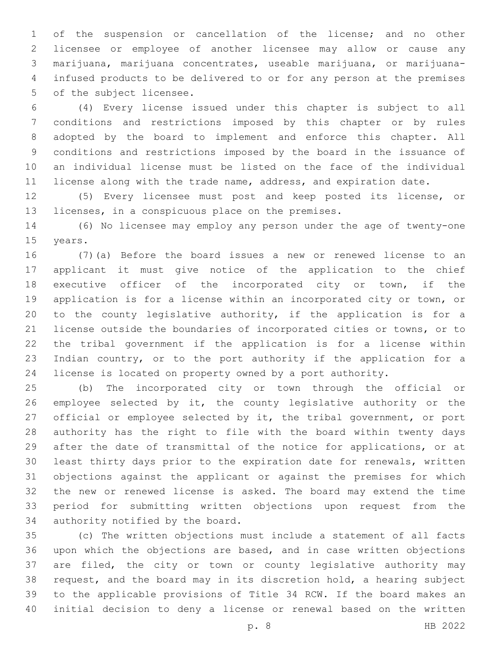of the suspension or cancellation of the license; and no other licensee or employee of another licensee may allow or cause any marijuana, marijuana concentrates, useable marijuana, or marijuana- infused products to be delivered to or for any person at the premises 5 of the subject licensee.

 (4) Every license issued under this chapter is subject to all conditions and restrictions imposed by this chapter or by rules adopted by the board to implement and enforce this chapter. All conditions and restrictions imposed by the board in the issuance of an individual license must be listed on the face of the individual 11 license along with the trade name, address, and expiration date.

 (5) Every licensee must post and keep posted its license, or 13 licenses, in a conspicuous place on the premises.

 (6) No licensee may employ any person under the age of twenty-one 15 years.

 (7)(a) Before the board issues a new or renewed license to an applicant it must give notice of the application to the chief executive officer of the incorporated city or town, if the application is for a license within an incorporated city or town, or to the county legislative authority, if the application is for a license outside the boundaries of incorporated cities or towns, or to the tribal government if the application is for a license within Indian country, or to the port authority if the application for a license is located on property owned by a port authority.

 (b) The incorporated city or town through the official or employee selected by it, the county legislative authority or the official or employee selected by it, the tribal government, or port authority has the right to file with the board within twenty days after the date of transmittal of the notice for applications, or at least thirty days prior to the expiration date for renewals, written objections against the applicant or against the premises for which the new or renewed license is asked. The board may extend the time period for submitting written objections upon request from the 34 authority notified by the board.

 (c) The written objections must include a statement of all facts upon which the objections are based, and in case written objections are filed, the city or town or county legislative authority may request, and the board may in its discretion hold, a hearing subject to the applicable provisions of Title 34 RCW. If the board makes an initial decision to deny a license or renewal based on the written

p. 8 HB 2022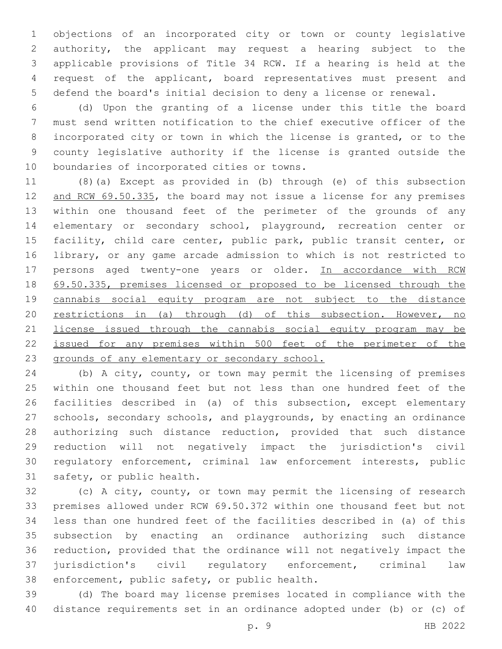objections of an incorporated city or town or county legislative authority, the applicant may request a hearing subject to the applicable provisions of Title 34 RCW. If a hearing is held at the request of the applicant, board representatives must present and defend the board's initial decision to deny a license or renewal.

 (d) Upon the granting of a license under this title the board must send written notification to the chief executive officer of the incorporated city or town in which the license is granted, or to the county legislative authority if the license is granted outside the 10 boundaries of incorporated cities or towns.

 (8)(a) Except as provided in (b) through (e) of this subsection 12 and RCW 69.50.335, the board may not issue a license for any premises within one thousand feet of the perimeter of the grounds of any elementary or secondary school, playground, recreation center or facility, child care center, public park, public transit center, or library, or any game arcade admission to which is not restricted to 17 persons aged twenty-one years or older. In accordance with RCW 69.50.335, premises licensed or proposed to be licensed through the cannabis social equity program are not subject to the distance restrictions in (a) through (d) of this subsection. However, no license issued through the cannabis social equity program may be issued for any premises within 500 feet of the perimeter of the grounds of any elementary or secondary school.

 (b) A city, county, or town may permit the licensing of premises within one thousand feet but not less than one hundred feet of the facilities described in (a) of this subsection, except elementary schools, secondary schools, and playgrounds, by enacting an ordinance authorizing such distance reduction, provided that such distance reduction will not negatively impact the jurisdiction's civil regulatory enforcement, criminal law enforcement interests, public 31 safety, or public health.

 (c) A city, county, or town may permit the licensing of research premises allowed under RCW 69.50.372 within one thousand feet but not less than one hundred feet of the facilities described in (a) of this subsection by enacting an ordinance authorizing such distance reduction, provided that the ordinance will not negatively impact the jurisdiction's civil regulatory enforcement, criminal law 38 enforcement, public safety, or public health.

 (d) The board may license premises located in compliance with the distance requirements set in an ordinance adopted under (b) or (c) of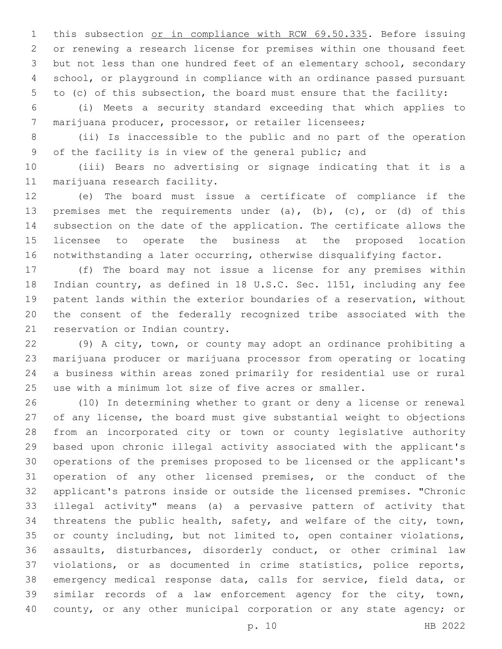1 this subsection or in compliance with RCW 69.50.335. Before issuing or renewing a research license for premises within one thousand feet but not less than one hundred feet of an elementary school, secondary school, or playground in compliance with an ordinance passed pursuant to (c) of this subsection, the board must ensure that the facility:

 (i) Meets a security standard exceeding that which applies to marijuana producer, processor, or retailer licensees;

 (ii) Is inaccessible to the public and no part of the operation of the facility is in view of the general public; and

 (iii) Bears no advertising or signage indicating that it is a 11 marijuana research facility.

 (e) The board must issue a certificate of compliance if the premises met the requirements under (a), (b), (c), or (d) of this subsection on the date of the application. The certificate allows the licensee to operate the business at the proposed location notwithstanding a later occurring, otherwise disqualifying factor.

 (f) The board may not issue a license for any premises within Indian country, as defined in 18 U.S.C. Sec. 1151, including any fee patent lands within the exterior boundaries of a reservation, without the consent of the federally recognized tribe associated with the 21 reservation or Indian country.

 (9) A city, town, or county may adopt an ordinance prohibiting a marijuana producer or marijuana processor from operating or locating a business within areas zoned primarily for residential use or rural use with a minimum lot size of five acres or smaller.

 (10) In determining whether to grant or deny a license or renewal of any license, the board must give substantial weight to objections from an incorporated city or town or county legislative authority based upon chronic illegal activity associated with the applicant's operations of the premises proposed to be licensed or the applicant's operation of any other licensed premises, or the conduct of the applicant's patrons inside or outside the licensed premises. "Chronic illegal activity" means (a) a pervasive pattern of activity that threatens the public health, safety, and welfare of the city, town, or county including, but not limited to, open container violations, assaults, disturbances, disorderly conduct, or other criminal law violations, or as documented in crime statistics, police reports, emergency medical response data, calls for service, field data, or similar records of a law enforcement agency for the city, town, 40 county, or any other municipal corporation or any state agency; or

p. 10 HB 2022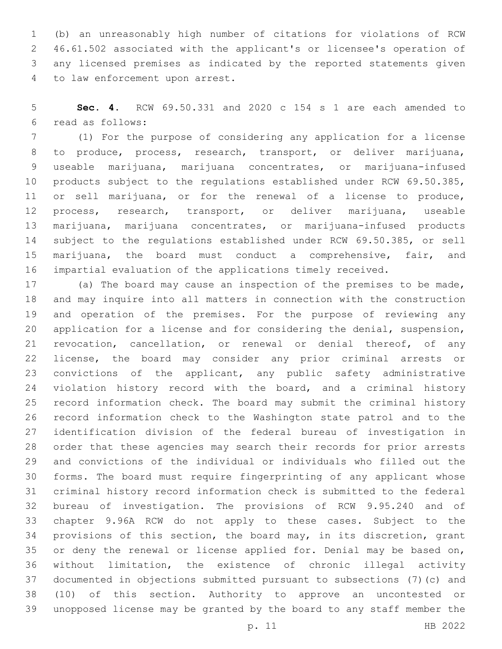(b) an unreasonably high number of citations for violations of RCW 46.61.502 associated with the applicant's or licensee's operation of any licensed premises as indicated by the reported statements given 4 to law enforcement upon arrest.

 **Sec. 4.** RCW 69.50.331 and 2020 c 154 s 1 are each amended to read as follows:6

 (1) For the purpose of considering any application for a license to produce, process, research, transport, or deliver marijuana, useable marijuana, marijuana concentrates, or marijuana-infused products subject to the regulations established under RCW 69.50.385, or sell marijuana, or for the renewal of a license to produce, process, research, transport, or deliver marijuana, useable marijuana, marijuana concentrates, or marijuana-infused products subject to the regulations established under RCW 69.50.385, or sell marijuana, the board must conduct a comprehensive, fair, and impartial evaluation of the applications timely received.

 (a) The board may cause an inspection of the premises to be made, and may inquire into all matters in connection with the construction and operation of the premises. For the purpose of reviewing any application for a license and for considering the denial, suspension, revocation, cancellation, or renewal or denial thereof, of any license, the board may consider any prior criminal arrests or convictions of the applicant, any public safety administrative violation history record with the board, and a criminal history record information check. The board may submit the criminal history record information check to the Washington state patrol and to the identification division of the federal bureau of investigation in order that these agencies may search their records for prior arrests and convictions of the individual or individuals who filled out the forms. The board must require fingerprinting of any applicant whose criminal history record information check is submitted to the federal bureau of investigation. The provisions of RCW 9.95.240 and of chapter 9.96A RCW do not apply to these cases. Subject to the provisions of this section, the board may, in its discretion, grant 35 or deny the renewal or license applied for. Denial may be based on, without limitation, the existence of chronic illegal activity documented in objections submitted pursuant to subsections (7)(c) and (10) of this section. Authority to approve an uncontested or unopposed license may be granted by the board to any staff member the

p. 11 HB 2022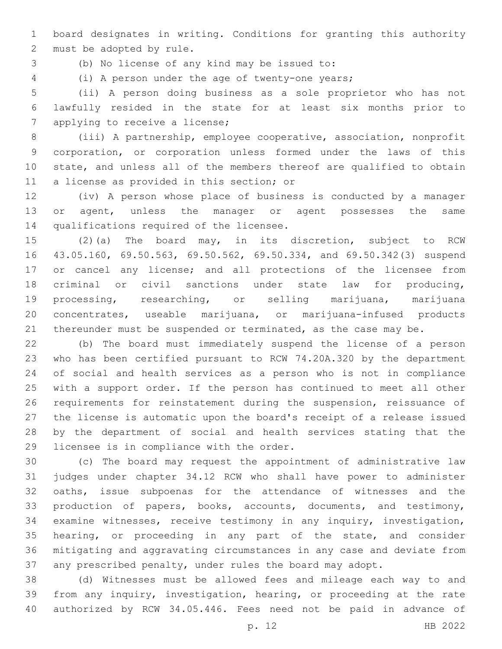board designates in writing. Conditions for granting this authority 2 must be adopted by rule.

(b) No license of any kind may be issued to:3

(i) A person under the age of twenty-one years;

 (ii) A person doing business as a sole proprietor who has not lawfully resided in the state for at least six months prior to 7 applying to receive a license;

 (iii) A partnership, employee cooperative, association, nonprofit corporation, or corporation unless formed under the laws of this state, and unless all of the members thereof are qualified to obtain 11 a license as provided in this section; or

 (iv) A person whose place of business is conducted by a manager or agent, unless the manager or agent possesses the same 14 qualifications required of the licensee.

 (2)(a) The board may, in its discretion, subject to RCW 43.05.160, 69.50.563, 69.50.562, 69.50.334, and 69.50.342(3) suspend 17 or cancel any license; and all protections of the licensee from criminal or civil sanctions under state law for producing, processing, researching, or selling marijuana, marijuana concentrates, useable marijuana, or marijuana-infused products 21 thereunder must be suspended or terminated, as the case may be.

 (b) The board must immediately suspend the license of a person who has been certified pursuant to RCW 74.20A.320 by the department of social and health services as a person who is not in compliance with a support order. If the person has continued to meet all other requirements for reinstatement during the suspension, reissuance of the license is automatic upon the board's receipt of a release issued by the department of social and health services stating that the 29 licensee is in compliance with the order.

 (c) The board may request the appointment of administrative law judges under chapter 34.12 RCW who shall have power to administer oaths, issue subpoenas for the attendance of witnesses and the production of papers, books, accounts, documents, and testimony, examine witnesses, receive testimony in any inquiry, investigation, hearing, or proceeding in any part of the state, and consider mitigating and aggravating circumstances in any case and deviate from any prescribed penalty, under rules the board may adopt.

 (d) Witnesses must be allowed fees and mileage each way to and from any inquiry, investigation, hearing, or proceeding at the rate authorized by RCW 34.05.446. Fees need not be paid in advance of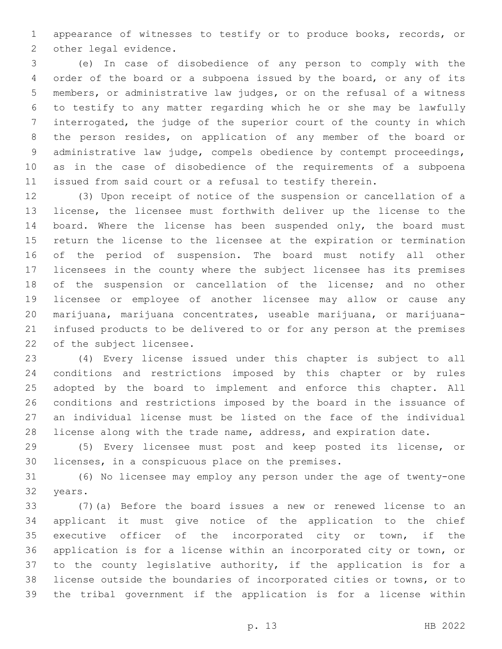appearance of witnesses to testify or to produce books, records, or 2 other legal evidence.

 (e) In case of disobedience of any person to comply with the order of the board or a subpoena issued by the board, or any of its members, or administrative law judges, or on the refusal of a witness to testify to any matter regarding which he or she may be lawfully interrogated, the judge of the superior court of the county in which the person resides, on application of any member of the board or administrative law judge, compels obedience by contempt proceedings, as in the case of disobedience of the requirements of a subpoena issued from said court or a refusal to testify therein.

 (3) Upon receipt of notice of the suspension or cancellation of a license, the licensee must forthwith deliver up the license to the 14 board. Where the license has been suspended only, the board must return the license to the licensee at the expiration or termination of the period of suspension. The board must notify all other licensees in the county where the subject licensee has its premises of the suspension or cancellation of the license; and no other licensee or employee of another licensee may allow or cause any marijuana, marijuana concentrates, useable marijuana, or marijuana- infused products to be delivered to or for any person at the premises 22 of the subject licensee.

 (4) Every license issued under this chapter is subject to all conditions and restrictions imposed by this chapter or by rules adopted by the board to implement and enforce this chapter. All conditions and restrictions imposed by the board in the issuance of an individual license must be listed on the face of the individual 28 license along with the trade name, address, and expiration date.

 (5) Every licensee must post and keep posted its license, or 30 licenses, in a conspicuous place on the premises.

 (6) No licensee may employ any person under the age of twenty-one 32 years.

 (7)(a) Before the board issues a new or renewed license to an applicant it must give notice of the application to the chief 35 executive officer of the incorporated city or town, if the application is for a license within an incorporated city or town, or to the county legislative authority, if the application is for a license outside the boundaries of incorporated cities or towns, or to the tribal government if the application is for a license within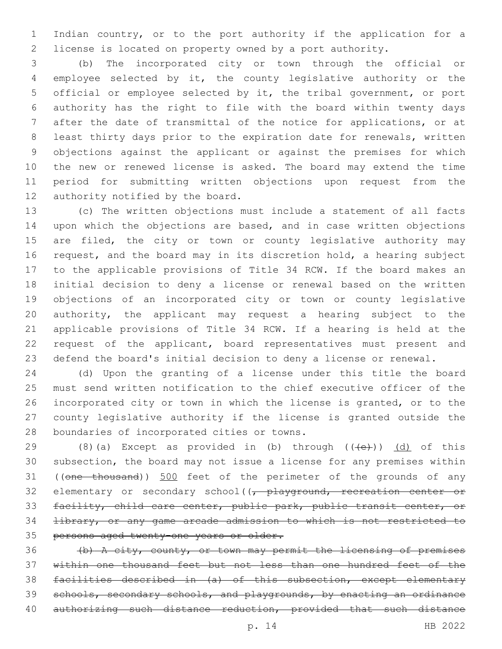Indian country, or to the port authority if the application for a license is located on property owned by a port authority.

 (b) The incorporated city or town through the official or employee selected by it, the county legislative authority or the official or employee selected by it, the tribal government, or port authority has the right to file with the board within twenty days after the date of transmittal of the notice for applications, or at least thirty days prior to the expiration date for renewals, written objections against the applicant or against the premises for which the new or renewed license is asked. The board may extend the time period for submitting written objections upon request from the 12 authority notified by the board.

 (c) The written objections must include a statement of all facts upon which the objections are based, and in case written objections 15 are filed, the city or town or county legislative authority may request, and the board may in its discretion hold, a hearing subject to the applicable provisions of Title 34 RCW. If the board makes an initial decision to deny a license or renewal based on the written objections of an incorporated city or town or county legislative authority, the applicant may request a hearing subject to the applicable provisions of Title 34 RCW. If a hearing is held at the request of the applicant, board representatives must present and defend the board's initial decision to deny a license or renewal.

 (d) Upon the granting of a license under this title the board must send written notification to the chief executive officer of the incorporated city or town in which the license is granted, or to the county legislative authority if the license is granted outside the 28 boundaries of incorporated cities or towns.

29 (8)(a) Except as provided in (b) through  $((+e+))$   $(d)$  of this subsection, the board may not issue a license for any premises within 31 ((one thousand)) 500 feet of the perimeter of the grounds of any 32 elementary or secondary school( $\sqrt{\tau}$  playground, recreation center or facility, child care center, public park, public transit center, or library, or any game arcade admission to which is not restricted to persons aged twenty-one years or older.

 (b) A city, county, or town may permit the licensing of premises within one thousand feet but not less than one hundred feet of the facilities described in (a) of this subsection, except elementary 39 schools, secondary schools, and playgrounds, by enacting an ordinance 40 authorizing such distance reduction, provided that such distance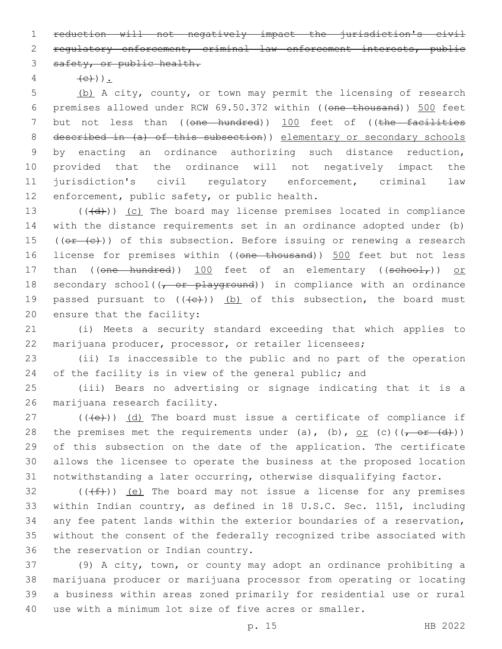1 reduction will not negatively impact the jurisdiction's civil

2 regulatory enforcement, criminal law enforcement interests, public 3 safety, or public health.

4  $(e)$ ).

 (b) A city, county, or town may permit the licensing of research premises allowed under RCW 69.50.372 within ((one thousand)) 500 feet 7 but not less than ((one hundred)) 100 feet of ((the facilities described in (a) of this subsection)) elementary or secondary schools by enacting an ordinance authorizing such distance reduction, provided that the ordinance will not negatively impact the jurisdiction's civil regulatory enforcement, criminal law 12 enforcement, public safety, or public health.

13  $((+d))$   $(c)$  The board may license premises located in compliance 14 with the distance requirements set in an ordinance adopted under (b) 15 ( $(\overline{or} + (c))$ ) of this subsection. Before issuing or renewing a research 16 license for premises within ((one thousand)) 500 feet but not less 17 than ((one hundred)) 100 feet of an elementary ((school,)) or 18 secondary school( $(-$  or playground)) in compliance with an ordinance 19 passed pursuant to  $((+e))$  (b) of this subsection, the board must 20 ensure that the facility:

21 (i) Meets a security standard exceeding that which applies to 22 marijuana producer, processor, or retailer licensees;

23 (ii) Is inaccessible to the public and no part of the operation 24 of the facility is in view of the general public; and

25 (iii) Bears no advertising or signage indicating that it is a 26 marijuana research facility.

 (( $\left(\frac{1}{12}\right)$ ) (d) The board must issue a certificate of compliance if 28 the premises met the requirements under (a), (b), or (c)( $(-6r - (d))$ ) of this subsection on the date of the application. The certificate allows the licensee to operate the business at the proposed location notwithstanding a later occurring, otherwise disqualifying factor.

 $(1 + f)$ ) (e) The board may not issue a license for any premises 33 within Indian country, as defined in 18 U.S.C. Sec. 1151, including 34 any fee patent lands within the exterior boundaries of a reservation, 35 without the consent of the federally recognized tribe associated with 36 the reservation or Indian country.

 (9) A city, town, or county may adopt an ordinance prohibiting a marijuana producer or marijuana processor from operating or locating a business within areas zoned primarily for residential use or rural use with a minimum lot size of five acres or smaller.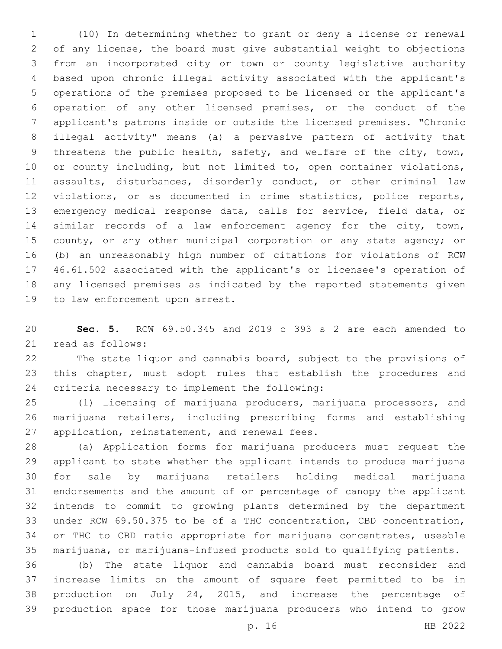(10) In determining whether to grant or deny a license or renewal of any license, the board must give substantial weight to objections from an incorporated city or town or county legislative authority based upon chronic illegal activity associated with the applicant's operations of the premises proposed to be licensed or the applicant's operation of any other licensed premises, or the conduct of the applicant's patrons inside or outside the licensed premises. "Chronic illegal activity" means (a) a pervasive pattern of activity that 9 threatens the public health, safety, and welfare of the city, town, 10 or county including, but not limited to, open container violations, assaults, disturbances, disorderly conduct, or other criminal law violations, or as documented in crime statistics, police reports, emergency medical response data, calls for service, field data, or similar records of a law enforcement agency for the city, town, 15 county, or any other municipal corporation or any state agency; or (b) an unreasonably high number of citations for violations of RCW 46.61.502 associated with the applicant's or licensee's operation of any licensed premises as indicated by the reported statements given 19 to law enforcement upon arrest.

 **Sec. 5.** RCW 69.50.345 and 2019 c 393 s 2 are each amended to 21 read as follows:

 The state liquor and cannabis board, subject to the provisions of this chapter, must adopt rules that establish the procedures and 24 criteria necessary to implement the following:

 (1) Licensing of marijuana producers, marijuana processors, and marijuana retailers, including prescribing forms and establishing 27 application, reinstatement, and renewal fees.

 (a) Application forms for marijuana producers must request the applicant to state whether the applicant intends to produce marijuana for sale by marijuana retailers holding medical marijuana endorsements and the amount of or percentage of canopy the applicant intends to commit to growing plants determined by the department under RCW 69.50.375 to be of a THC concentration, CBD concentration, or THC to CBD ratio appropriate for marijuana concentrates, useable marijuana, or marijuana-infused products sold to qualifying patients.

 (b) The state liquor and cannabis board must reconsider and increase limits on the amount of square feet permitted to be in production on July 24, 2015, and increase the percentage of production space for those marijuana producers who intend to grow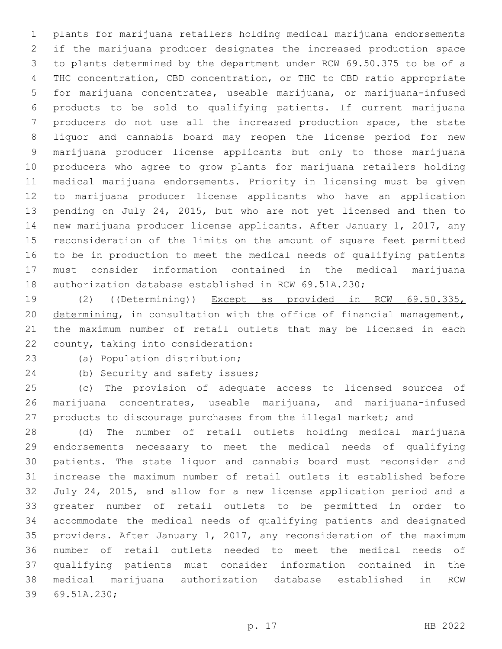plants for marijuana retailers holding medical marijuana endorsements if the marijuana producer designates the increased production space to plants determined by the department under RCW 69.50.375 to be of a THC concentration, CBD concentration, or THC to CBD ratio appropriate for marijuana concentrates, useable marijuana, or marijuana-infused products to be sold to qualifying patients. If current marijuana producers do not use all the increased production space, the state liquor and cannabis board may reopen the license period for new marijuana producer license applicants but only to those marijuana producers who agree to grow plants for marijuana retailers holding medical marijuana endorsements. Priority in licensing must be given to marijuana producer license applicants who have an application pending on July 24, 2015, but who are not yet licensed and then to new marijuana producer license applicants. After January 1, 2017, any reconsideration of the limits on the amount of square feet permitted to be in production to meet the medical needs of qualifying patients must consider information contained in the medical marijuana authorization database established in RCW 69.51A.230;

 (2) ((Determining)) Except as provided in RCW 69.50.335, determining, in consultation with the office of financial management, the maximum number of retail outlets that may be licensed in each 22 county, taking into consideration:

23 (a) Population distribution;

24 (b) Security and safety issues;

 (c) The provision of adequate access to licensed sources of marijuana concentrates, useable marijuana, and marijuana-infused products to discourage purchases from the illegal market; and

 (d) The number of retail outlets holding medical marijuana endorsements necessary to meet the medical needs of qualifying patients. The state liquor and cannabis board must reconsider and increase the maximum number of retail outlets it established before July 24, 2015, and allow for a new license application period and a greater number of retail outlets to be permitted in order to accommodate the medical needs of qualifying patients and designated providers. After January 1, 2017, any reconsideration of the maximum number of retail outlets needed to meet the medical needs of qualifying patients must consider information contained in the medical marijuana authorization database established in RCW 39 69.51A.230;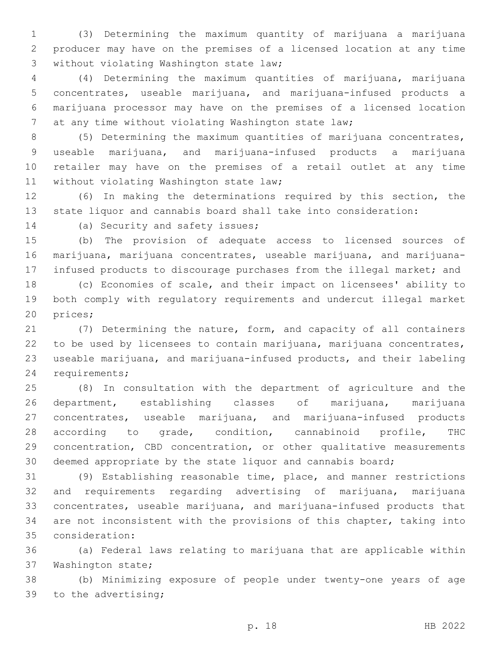(3) Determining the maximum quantity of marijuana a marijuana producer may have on the premises of a licensed location at any time 3 without violating Washington state law;

 (4) Determining the maximum quantities of marijuana, marijuana concentrates, useable marijuana, and marijuana-infused products a marijuana processor may have on the premises of a licensed location at any time without violating Washington state law;

 (5) Determining the maximum quantities of marijuana concentrates, useable marijuana, and marijuana-infused products a marijuana retailer may have on the premises of a retail outlet at any time 11 without violating Washington state law;

 (6) In making the determinations required by this section, the state liquor and cannabis board shall take into consideration:

14 (a) Security and safety issues;

 (b) The provision of adequate access to licensed sources of marijuana, marijuana concentrates, useable marijuana, and marijuana-infused products to discourage purchases from the illegal market; and

 (c) Economies of scale, and their impact on licensees' ability to both comply with regulatory requirements and undercut illegal market 20 prices;

 (7) Determining the nature, form, and capacity of all containers to be used by licensees to contain marijuana, marijuana concentrates, useable marijuana, and marijuana-infused products, and their labeling 24 requirements;

 (8) In consultation with the department of agriculture and the department, establishing classes of marijuana, marijuana concentrates, useable marijuana, and marijuana-infused products according to grade, condition, cannabinoid profile, THC concentration, CBD concentration, or other qualitative measurements deemed appropriate by the state liquor and cannabis board;

 (9) Establishing reasonable time, place, and manner restrictions and requirements regarding advertising of marijuana, marijuana concentrates, useable marijuana, and marijuana-infused products that are not inconsistent with the provisions of this chapter, taking into consideration:35

 (a) Federal laws relating to marijuana that are applicable within 37 Washington state;

 (b) Minimizing exposure of people under twenty-one years of age 39 to the advertising;

p. 18 HB 2022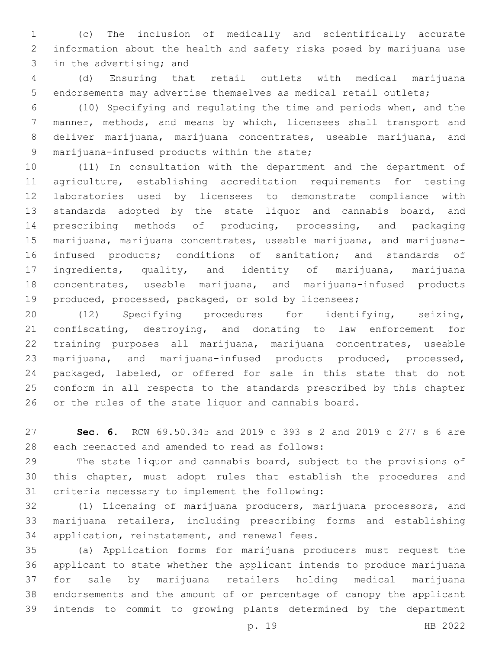(c) The inclusion of medically and scientifically accurate information about the health and safety risks posed by marijuana use 3 in the advertising; and

 (d) Ensuring that retail outlets with medical marijuana endorsements may advertise themselves as medical retail outlets;

 (10) Specifying and regulating the time and periods when, and the manner, methods, and means by which, licensees shall transport and deliver marijuana, marijuana concentrates, useable marijuana, and 9 marijuana-infused products within the state;

 (11) In consultation with the department and the department of agriculture, establishing accreditation requirements for testing laboratories used by licensees to demonstrate compliance with standards adopted by the state liquor and cannabis board, and prescribing methods of producing, processing, and packaging marijuana, marijuana concentrates, useable marijuana, and marijuana- infused products; conditions of sanitation; and standards of ingredients, quality, and identity of marijuana, marijuana concentrates, useable marijuana, and marijuana-infused products produced, processed, packaged, or sold by licensees;

 (12) Specifying procedures for identifying, seizing, confiscating, destroying, and donating to law enforcement for training purposes all marijuana, marijuana concentrates, useable marijuana, and marijuana-infused products produced, processed, packaged, labeled, or offered for sale in this state that do not conform in all respects to the standards prescribed by this chapter or the rules of the state liquor and cannabis board.

 **Sec. 6.** RCW 69.50.345 and 2019 c 393 s 2 and 2019 c 277 s 6 are 28 each reenacted and amended to read as follows:

 The state liquor and cannabis board, subject to the provisions of this chapter, must adopt rules that establish the procedures and 31 criteria necessary to implement the following:

 (1) Licensing of marijuana producers, marijuana processors, and marijuana retailers, including prescribing forms and establishing 34 application, reinstatement, and renewal fees.

 (a) Application forms for marijuana producers must request the applicant to state whether the applicant intends to produce marijuana for sale by marijuana retailers holding medical marijuana endorsements and the amount of or percentage of canopy the applicant intends to commit to growing plants determined by the department

p. 19 HB 2022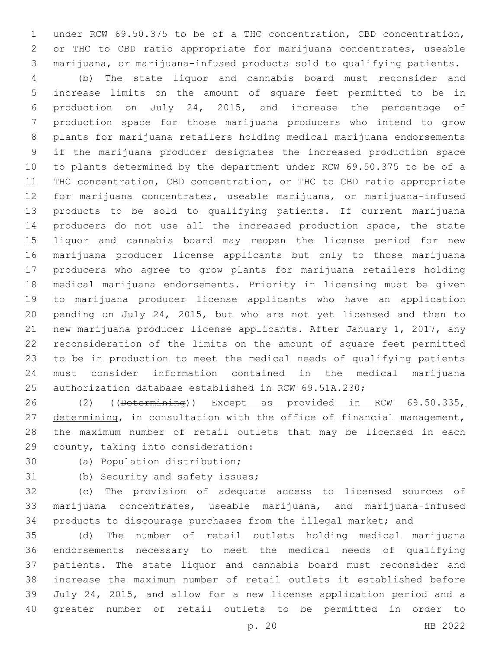under RCW 69.50.375 to be of a THC concentration, CBD concentration, or THC to CBD ratio appropriate for marijuana concentrates, useable marijuana, or marijuana-infused products sold to qualifying patients.

 (b) The state liquor and cannabis board must reconsider and increase limits on the amount of square feet permitted to be in production on July 24, 2015, and increase the percentage of production space for those marijuana producers who intend to grow plants for marijuana retailers holding medical marijuana endorsements if the marijuana producer designates the increased production space to plants determined by the department under RCW 69.50.375 to be of a THC concentration, CBD concentration, or THC to CBD ratio appropriate for marijuana concentrates, useable marijuana, or marijuana-infused products to be sold to qualifying patients. If current marijuana producers do not use all the increased production space, the state liquor and cannabis board may reopen the license period for new marijuana producer license applicants but only to those marijuana producers who agree to grow plants for marijuana retailers holding medical marijuana endorsements. Priority in licensing must be given to marijuana producer license applicants who have an application pending on July 24, 2015, but who are not yet licensed and then to new marijuana producer license applicants. After January 1, 2017, any reconsideration of the limits on the amount of square feet permitted to be in production to meet the medical needs of qualifying patients must consider information contained in the medical marijuana authorization database established in RCW 69.51A.230;

 (2) ((Determining)) Except as provided in RCW 69.50.335, 27 determining, in consultation with the office of financial management, the maximum number of retail outlets that may be licensed in each 29 county, taking into consideration:

30 (a) Population distribution;

31 (b) Security and safety issues;

 (c) The provision of adequate access to licensed sources of marijuana concentrates, useable marijuana, and marijuana-infused products to discourage purchases from the illegal market; and

 (d) The number of retail outlets holding medical marijuana endorsements necessary to meet the medical needs of qualifying patients. The state liquor and cannabis board must reconsider and increase the maximum number of retail outlets it established before July 24, 2015, and allow for a new license application period and a greater number of retail outlets to be permitted in order to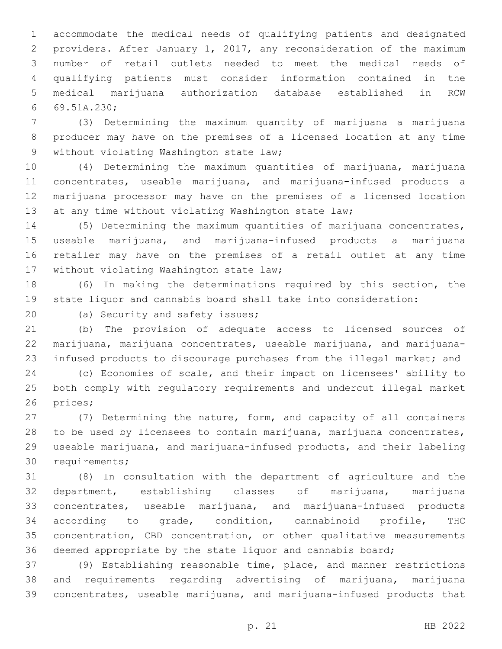accommodate the medical needs of qualifying patients and designated providers. After January 1, 2017, any reconsideration of the maximum number of retail outlets needed to meet the medical needs of qualifying patients must consider information contained in the medical marijuana authorization database established in RCW 69.51A.230;6

 (3) Determining the maximum quantity of marijuana a marijuana producer may have on the premises of a licensed location at any time 9 without violating Washington state law;

 (4) Determining the maximum quantities of marijuana, marijuana concentrates, useable marijuana, and marijuana-infused products a marijuana processor may have on the premises of a licensed location 13 at any time without violating Washington state law;

 (5) Determining the maximum quantities of marijuana concentrates, useable marijuana, and marijuana-infused products a marijuana retailer may have on the premises of a retail outlet at any time 17 without violating Washington state law;

 (6) In making the determinations required by this section, the state liquor and cannabis board shall take into consideration:

20 (a) Security and safety issues;

 (b) The provision of adequate access to licensed sources of marijuana, marijuana concentrates, useable marijuana, and marijuana-infused products to discourage purchases from the illegal market; and

 (c) Economies of scale, and their impact on licensees' ability to both comply with regulatory requirements and undercut illegal market 26 prices;

 (7) Determining the nature, form, and capacity of all containers to be used by licensees to contain marijuana, marijuana concentrates, useable marijuana, and marijuana-infused products, and their labeling 30 requirements;

 (8) In consultation with the department of agriculture and the department, establishing classes of marijuana, marijuana concentrates, useable marijuana, and marijuana-infused products according to grade, condition, cannabinoid profile, THC concentration, CBD concentration, or other qualitative measurements deemed appropriate by the state liquor and cannabis board;

 (9) Establishing reasonable time, place, and manner restrictions and requirements regarding advertising of marijuana, marijuana concentrates, useable marijuana, and marijuana-infused products that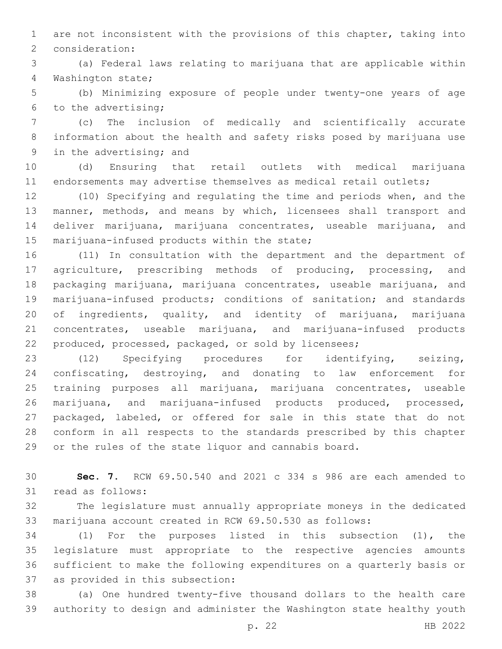are not inconsistent with the provisions of this chapter, taking into 2 consideration:

 (a) Federal laws relating to marijuana that are applicable within 4 Washington state;

 (b) Minimizing exposure of people under twenty-one years of age 6 to the advertising;

 (c) The inclusion of medically and scientifically accurate information about the health and safety risks posed by marijuana use 9 in the advertising; and

 (d) Ensuring that retail outlets with medical marijuana endorsements may advertise themselves as medical retail outlets;

 (10) Specifying and regulating the time and periods when, and the manner, methods, and means by which, licensees shall transport and deliver marijuana, marijuana concentrates, useable marijuana, and 15 marijuana-infused products within the state;

 (11) In consultation with the department and the department of agriculture, prescribing methods of producing, processing, and packaging marijuana, marijuana concentrates, useable marijuana, and marijuana-infused products; conditions of sanitation; and standards of ingredients, quality, and identity of marijuana, marijuana concentrates, useable marijuana, and marijuana-infused products produced, processed, packaged, or sold by licensees;

 (12) Specifying procedures for identifying, seizing, confiscating, destroying, and donating to law enforcement for training purposes all marijuana, marijuana concentrates, useable marijuana, and marijuana-infused products produced, processed, packaged, labeled, or offered for sale in this state that do not conform in all respects to the standards prescribed by this chapter or the rules of the state liquor and cannabis board.

 **Sec. 7.** RCW 69.50.540 and 2021 c 334 s 986 are each amended to 31 read as follows:

 The legislature must annually appropriate moneys in the dedicated marijuana account created in RCW 69.50.530 as follows:

 (1) For the purposes listed in this subsection (1), the legislature must appropriate to the respective agencies amounts sufficient to make the following expenditures on a quarterly basis or 37 as provided in this subsection:

 (a) One hundred twenty-five thousand dollars to the health care authority to design and administer the Washington state healthy youth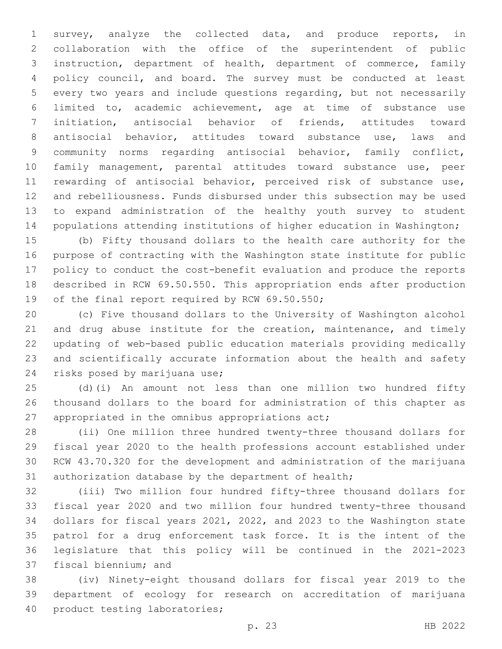survey, analyze the collected data, and produce reports, in collaboration with the office of the superintendent of public instruction, department of health, department of commerce, family policy council, and board. The survey must be conducted at least every two years and include questions regarding, but not necessarily limited to, academic achievement, age at time of substance use initiation, antisocial behavior of friends, attitudes toward antisocial behavior, attitudes toward substance use, laws and community norms regarding antisocial behavior, family conflict, family management, parental attitudes toward substance use, peer rewarding of antisocial behavior, perceived risk of substance use, and rebelliousness. Funds disbursed under this subsection may be used to expand administration of the healthy youth survey to student populations attending institutions of higher education in Washington;

 (b) Fifty thousand dollars to the health care authority for the purpose of contracting with the Washington state institute for public policy to conduct the cost-benefit evaluation and produce the reports described in RCW 69.50.550. This appropriation ends after production 19 of the final report required by RCW 69.50.550;

 (c) Five thousand dollars to the University of Washington alcohol 21 and drug abuse institute for the creation, maintenance, and timely updating of web-based public education materials providing medically and scientifically accurate information about the health and safety 24 risks posed by marijuana use;

 (d)(i) An amount not less than one million two hundred fifty thousand dollars to the board for administration of this chapter as 27 appropriated in the omnibus appropriations act;

 (ii) One million three hundred twenty-three thousand dollars for fiscal year 2020 to the health professions account established under RCW 43.70.320 for the development and administration of the marijuana authorization database by the department of health;

 (iii) Two million four hundred fifty-three thousand dollars for fiscal year 2020 and two million four hundred twenty-three thousand dollars for fiscal years 2021, 2022, and 2023 to the Washington state patrol for a drug enforcement task force. It is the intent of the legislature that this policy will be continued in the 2021-2023 37 fiscal biennium; and

 (iv) Ninety-eight thousand dollars for fiscal year 2019 to the department of ecology for research on accreditation of marijuana 40 product testing laboratories;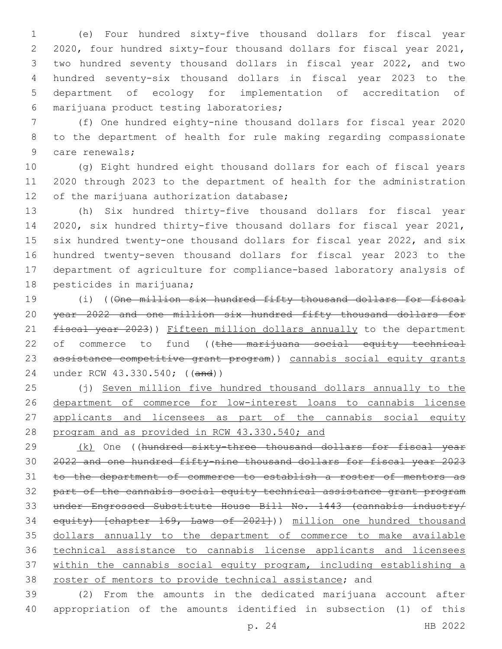(e) Four hundred sixty-five thousand dollars for fiscal year 2020, four hundred sixty-four thousand dollars for fiscal year 2021, two hundred seventy thousand dollars in fiscal year 2022, and two hundred seventy-six thousand dollars in fiscal year 2023 to the department of ecology for implementation of accreditation of marijuana product testing laboratories;6

 (f) One hundred eighty-nine thousand dollars for fiscal year 2020 to the department of health for rule making regarding compassionate 9 care renewals;

 (g) Eight hundred eight thousand dollars for each of fiscal years 2020 through 2023 to the department of health for the administration 12 of the marijuana authorization database;

 (h) Six hundred thirty-five thousand dollars for fiscal year 2020, six hundred thirty-five thousand dollars for fiscal year 2021, six hundred twenty-one thousand dollars for fiscal year 2022, and six hundred twenty-seven thousand dollars for fiscal year 2023 to the department of agriculture for compliance-based laboratory analysis of 18 pesticides in marijuana;

 (i) ((One million six hundred fifty thousand dollars for fiscal year 2022 and one million six hundred fifty thousand dollars for 21 fiscal year 2023)) Fifteen million dollars annually to the department 22 of commerce to fund ((the marijuana social equity technical assistance competitive grant program)) cannabis social equity grants under RCW 43.330.540; ((and))

 (j) Seven million five hundred thousand dollars annually to the department of commerce for low-interest loans to cannabis license 27 applicants and licensees as part of the cannabis social equity program and as provided in RCW 43.330.540; and

29 (k) One ((hundred sixty-three thousand dollars for fiscal year 2022 and one hundred fifty-nine thousand dollars for fiscal year 2023 to the department of commerce to establish a roster of mentors as part of the cannabis social equity technical assistance grant program under Engrossed Substitute House Bill No. 1443 (cannabis industry/ 34 equity) [chapter 169, Laws of 2021])) million one hundred thousand dollars annually to the department of commerce to make available technical assistance to cannabis license applicants and licensees within the cannabis social equity program, including establishing a roster of mentors to provide technical assistance; and

 (2) From the amounts in the dedicated marijuana account after appropriation of the amounts identified in subsection (1) of this

p. 24 HB 2022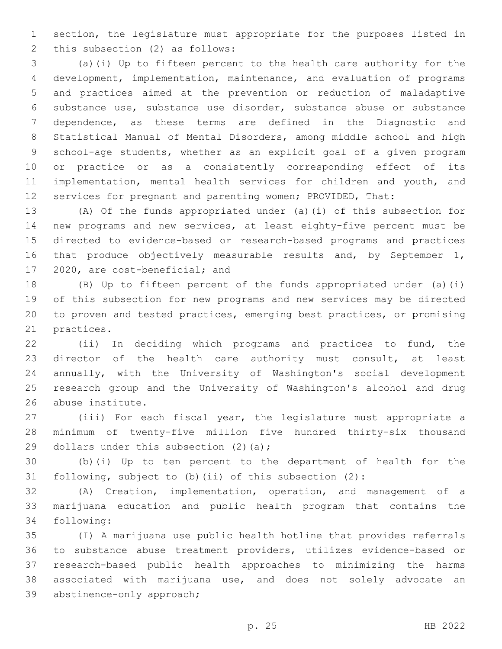section, the legislature must appropriate for the purposes listed in 2 this subsection (2) as follows:

 (a)(i) Up to fifteen percent to the health care authority for the development, implementation, maintenance, and evaluation of programs and practices aimed at the prevention or reduction of maladaptive substance use, substance use disorder, substance abuse or substance dependence, as these terms are defined in the Diagnostic and Statistical Manual of Mental Disorders, among middle school and high school-age students, whether as an explicit goal of a given program or practice or as a consistently corresponding effect of its 11 implementation, mental health services for children and youth, and services for pregnant and parenting women; PROVIDED, That:

 (A) Of the funds appropriated under (a)(i) of this subsection for new programs and new services, at least eighty-five percent must be directed to evidence-based or research-based programs and practices that produce objectively measurable results and, by September 1, 17 2020, are cost-beneficial; and

 (B) Up to fifteen percent of the funds appropriated under (a)(i) of this subsection for new programs and new services may be directed to proven and tested practices, emerging best practices, or promising 21 practices.

 (ii) In deciding which programs and practices to fund, the director of the health care authority must consult, at least annually, with the University of Washington's social development research group and the University of Washington's alcohol and drug 26 abuse institute.

 (iii) For each fiscal year, the legislature must appropriate a minimum of twenty-five million five hundred thirty-six thousand 29 dollars under this subsection  $(2)$  (a);

 (b)(i) Up to ten percent to the department of health for the following, subject to (b)(ii) of this subsection (2):

 (A) Creation, implementation, operation, and management of a marijuana education and public health program that contains the 34 following:

 (I) A marijuana use public health hotline that provides referrals to substance abuse treatment providers, utilizes evidence-based or research-based public health approaches to minimizing the harms associated with marijuana use, and does not solely advocate an 39 abstinence-only approach;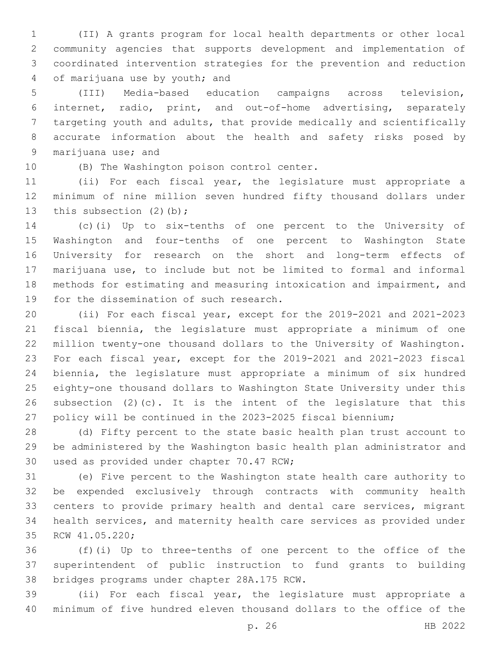(II) A grants program for local health departments or other local community agencies that supports development and implementation of coordinated intervention strategies for the prevention and reduction 4 of marijuana use by youth; and

 (III) Media-based education campaigns across television, internet, radio, print, and out-of-home advertising, separately targeting youth and adults, that provide medically and scientifically accurate information about the health and safety risks posed by 9 marijuana use; and

10 (B) The Washington poison control center.

 (ii) For each fiscal year, the legislature must appropriate a minimum of nine million seven hundred fifty thousand dollars under 13 this subsection (2)(b);

 (c)(i) Up to six-tenths of one percent to the University of Washington and four-tenths of one percent to Washington State University for research on the short and long-term effects of marijuana use, to include but not be limited to formal and informal methods for estimating and measuring intoxication and impairment, and 19 for the dissemination of such research.

 (ii) For each fiscal year, except for the 2019-2021 and 2021-2023 fiscal biennia, the legislature must appropriate a minimum of one million twenty-one thousand dollars to the University of Washington. For each fiscal year, except for the 2019-2021 and 2021-2023 fiscal biennia, the legislature must appropriate a minimum of six hundred eighty-one thousand dollars to Washington State University under this subsection (2)(c). It is the intent of the legislature that this policy will be continued in the 2023-2025 fiscal biennium;

 (d) Fifty percent to the state basic health plan trust account to be administered by the Washington basic health plan administrator and 30 used as provided under chapter 70.47 RCW;

 (e) Five percent to the Washington state health care authority to be expended exclusively through contracts with community health centers to provide primary health and dental care services, migrant health services, and maternity health care services as provided under 35 RCW 41.05.220;

 (f)(i) Up to three-tenths of one percent to the office of the superintendent of public instruction to fund grants to building 38 bridges programs under chapter 28A.175 RCW.

 (ii) For each fiscal year, the legislature must appropriate a minimum of five hundred eleven thousand dollars to the office of the

p. 26 HB 2022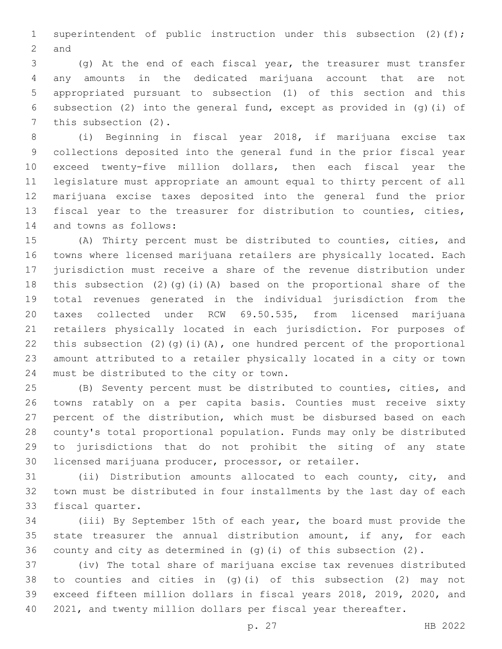1 superintendent of public instruction under this subsection (2)(f); 2 and

 (g) At the end of each fiscal year, the treasurer must transfer any amounts in the dedicated marijuana account that are not appropriated pursuant to subsection (1) of this section and this subsection (2) into the general fund, except as provided in (g)(i) of 7 this subsection (2).

 (i) Beginning in fiscal year 2018, if marijuana excise tax collections deposited into the general fund in the prior fiscal year exceed twenty-five million dollars, then each fiscal year the legislature must appropriate an amount equal to thirty percent of all marijuana excise taxes deposited into the general fund the prior fiscal year to the treasurer for distribution to counties, cities, 14 and towns as follows:

 (A) Thirty percent must be distributed to counties, cities, and towns where licensed marijuana retailers are physically located. Each jurisdiction must receive a share of the revenue distribution under this subsection (2)(g)(i)(A) based on the proportional share of the total revenues generated in the individual jurisdiction from the taxes collected under RCW 69.50.535, from licensed marijuana retailers physically located in each jurisdiction. For purposes of 22 this subsection  $(2)$   $(q)$   $(i)$   $(A)$ , one hundred percent of the proportional amount attributed to a retailer physically located in a city or town 24 must be distributed to the city or town.

 (B) Seventy percent must be distributed to counties, cities, and towns ratably on a per capita basis. Counties must receive sixty percent of the distribution, which must be disbursed based on each county's total proportional population. Funds may only be distributed to jurisdictions that do not prohibit the siting of any state licensed marijuana producer, processor, or retailer.

 (ii) Distribution amounts allocated to each county, city, and town must be distributed in four installments by the last day of each 33 fiscal quarter.

 (iii) By September 15th of each year, the board must provide the 35 state treasurer the annual distribution amount, if any, for each county and city as determined in (g)(i) of this subsection (2).

 (iv) The total share of marijuana excise tax revenues distributed to counties and cities in (g)(i) of this subsection (2) may not exceed fifteen million dollars in fiscal years 2018, 2019, 2020, and 2021, and twenty million dollars per fiscal year thereafter.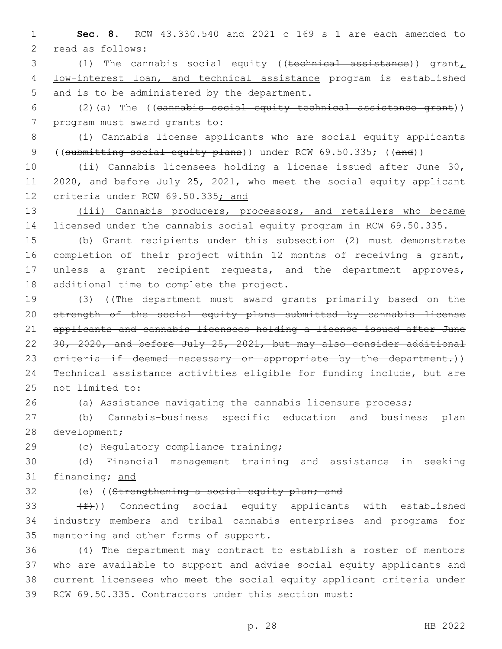1 **Sec. 8.** RCW 43.330.540 and 2021 c 169 s 1 are each amended to 2 read as follows:

3 (1) The cannabis social equity ((technical assistance)) grant, 4 low-interest loan, and technical assistance program is established 5 and is to be administered by the department.

6 (2)(a) The ((cannabis social equity technical assistance grant)) 7 program must award grants to:

8 (i) Cannabis license applicants who are social equity applicants 9 ((submitting social equity plans)) under RCW 69.50.335; ((and))

10 (ii) Cannabis licensees holding a license issued after June 30, 11 2020, and before July 25, 2021, who meet the social equity applicant 12 criteria under RCW 69.50.335; and

13 (iii) Cannabis producers, processors, and retailers who became 14 licensed under the cannabis social equity program in RCW 69.50.335.

 (b) Grant recipients under this subsection (2) must demonstrate completion of their project within 12 months of receiving a grant, unless a grant recipient requests, and the department approves, 18 additional time to complete the project.

 (3) ((The department must award grants primarily based on the strength of the social equity plans submitted by cannabis license applicants and cannabis licensees holding a license issued after June 30, 2020, and before July 25, 2021, but may also consider additional 23 criteria if deemed necessary or appropriate by the department.)) Technical assistance activities eligible for funding include, but are 25 not limited to:

26 (a) Assistance navigating the cannabis licensure process;

27 (b) Cannabis-business specific education and business plan 28 development;

29 (c) Regulatory compliance training;

30 (d) Financial management training and assistance in seeking 31 financing; and

32 (e) ((Strengthening a social equity plan; and

33  $(f)$ ) Connecting social equity applicants with established 34 industry members and tribal cannabis enterprises and programs for 35 mentoring and other forms of support.

 (4) The department may contract to establish a roster of mentors who are available to support and advise social equity applicants and current licensees who meet the social equity applicant criteria under RCW 69.50.335. Contractors under this section must: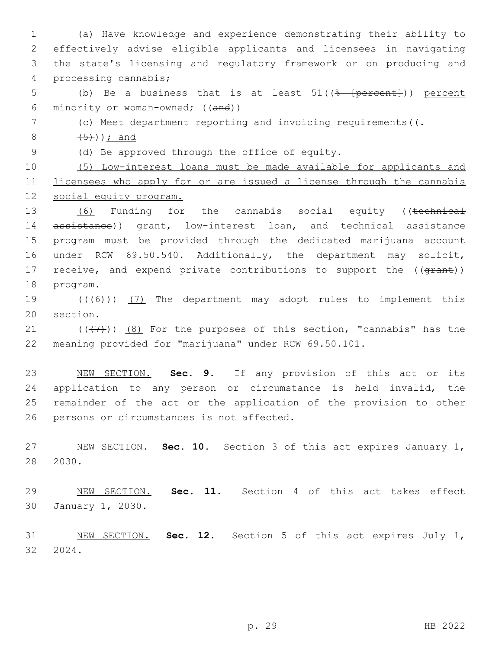(a) Have knowledge and experience demonstrating their ability to effectively advise eligible applicants and licensees in navigating the state's licensing and regulatory framework or on producing and processing cannabis;4 5 (b) Be a business that is at least 51((<del>% [percent]</del>)) percent minority or woman-owned; ((and)) 7 (c) Meet department reporting and invoicing requirements ((- $(5)$ ); and (d) Be approved through the office of equity. (5) Low-interest loans must be made available for applicants and licensees who apply for or are issued a license through the cannabis social equity program. 13 (6) Funding for the cannabis social equity ((technical 14 assistance)) grant, low-interest loan, and technical assistance program must be provided through the dedicated marijuana account under RCW 69.50.540. Additionally, the department may solicit, 17 receive, and expend private contributions to support the ((grant)) 18 program. 19 (((6)) (7) The department may adopt rules to implement this 20 section.  $((+7+))$   $(8)$  For the purposes of this section, "cannabis" has the meaning provided for "marijuana" under RCW 69.50.101. NEW SECTION. **Sec. 9.** If any provision of this act or its 24 application to any person or circumstance is held invalid, the remainder of the act or the application of the provision to other persons or circumstances is not affected. NEW SECTION. **Sec. 10.** Section 3 of this act expires January 1, 2030. NEW SECTION. **Sec. 11.** Section 4 of this act takes effect January 1, 2030. NEW SECTION. **Sec. 12.** Section 5 of this act expires July 1, 2024.